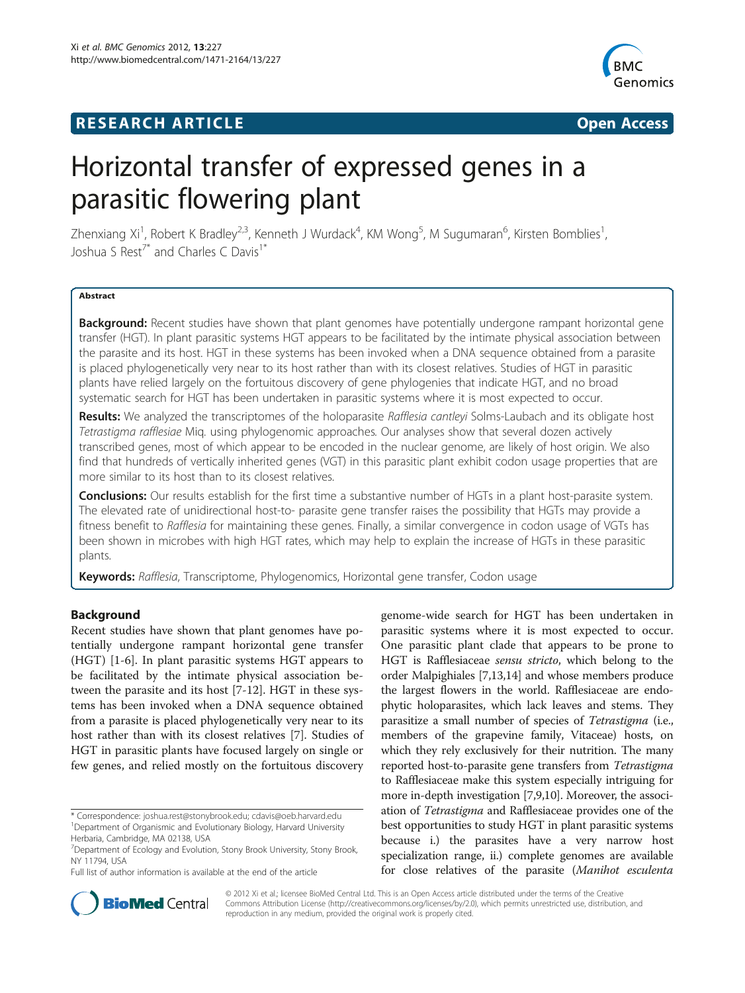## **RESEARCH ARTICLE Example 2014 CONSIDERING A RESEARCH ARTICLE**



# Horizontal transfer of expressed genes in a parasitic flowering plant

Zhenxiang Xi<sup>1</sup>, Robert K Bradley<sup>2,3</sup>, Kenneth J Wurdack<sup>4</sup>, KM Wong<sup>5</sup>, M Sugumaran<sup>6</sup>, Kirsten Bomblies<sup>1</sup> , Joshua S Rest<sup>7\*</sup> and Charles C Davis<sup>1\*</sup>

#### Abstract

Background: Recent studies have shown that plant genomes have potentially undergone rampant horizontal gene transfer (HGT). In plant parasitic systems HGT appears to be facilitated by the intimate physical association between the parasite and its host. HGT in these systems has been invoked when a DNA sequence obtained from a parasite is placed phylogenetically very near to its host rather than with its closest relatives. Studies of HGT in parasitic plants have relied largely on the fortuitous discovery of gene phylogenies that indicate HGT, and no broad systematic search for HGT has been undertaken in parasitic systems where it is most expected to occur.

Results: We analyzed the transcriptomes of the holoparasite Rafflesia cantleyi Solms-Laubach and its obligate host Tetrastigma rafflesiae Miq. using phylogenomic approaches. Our analyses show that several dozen actively transcribed genes, most of which appear to be encoded in the nuclear genome, are likely of host origin. We also find that hundreds of vertically inherited genes (VGT) in this parasitic plant exhibit codon usage properties that are more similar to its host than to its closest relatives.

Conclusions: Our results establish for the first time a substantive number of HGTs in a plant host-parasite system. The elevated rate of unidirectional host-to- parasite gene transfer raises the possibility that HGTs may provide a fitness benefit to Rafflesia for maintaining these genes. Finally, a similar convergence in codon usage of VGTs has been shown in microbes with high HGT rates, which may help to explain the increase of HGTs in these parasitic plants.

Keywords: Rafflesia, Transcriptome, Phylogenomics, Horizontal gene transfer, Codon usage

#### Background

Recent studies have shown that plant genomes have potentially undergone rampant horizontal gene transfer (HGT) [\[1](#page-6-0)-[6\]](#page-6-0). In plant parasitic systems HGT appears to be facilitated by the intimate physical association between the parasite and its host [[7-12](#page-6-0)]. HGT in these systems has been invoked when a DNA sequence obtained from a parasite is placed phylogenetically very near to its host rather than with its closest relatives [\[7](#page-6-0)]. Studies of HGT in parasitic plants have focused largely on single or few genes, and relied mostly on the fortuitous discovery

genome-wide search for HGT has been undertaken in parasitic systems where it is most expected to occur. One parasitic plant clade that appears to be prone to HGT is Rafflesiaceae sensu stricto, which belong to the order Malpighiales [[7,13,14](#page-6-0)] and whose members produce the largest flowers in the world. Rafflesiaceae are endophytic holoparasites, which lack leaves and stems. They parasitize a small number of species of Tetrastigma (i.e., members of the grapevine family, Vitaceae) hosts, on which they rely exclusively for their nutrition. The many reported host-to-parasite gene transfers from Tetrastigma to Rafflesiaceae make this system especially intriguing for more in-depth investigation [[7,9,10\]](#page-6-0). Moreover, the association of Tetrastigma and Rafflesiaceae provides one of the best opportunities to study HGT in plant parasitic systems because i.) the parasites have a very narrow host specialization range, ii.) complete genomes are available for close relatives of the parasite (Manihot esculenta



© 2012 Xi et al.; licensee BioMed Central Ltd. This is an Open Access article distributed under the terms of the Creative Commons Attribution License [\(http://creativecommons.org/licenses/by/2.0\)](http://creativecommons.org/licenses/by/2.0), which permits unrestricted use, distribution, and reproduction in any medium, provided the original work is properly cited.

<sup>\*</sup> Correspondence: [joshua.rest@stonybrook.edu;](mailto:joshua.rest@stonybrook.edu) [cdavis@oeb.harvard.edu](mailto:cdavis@oeb.harvard.edu) <sup>1</sup> <sup>1</sup>Department of Organismic and Evolutionary Biology, Harvard University Herbaria, Cambridge, MA 02138, USA

<sup>&</sup>lt;sup>7</sup>Department of Ecology and Evolution, Stony Brook University, Stony Brook, NY 11794, USA

Full list of author information is available at the end of the article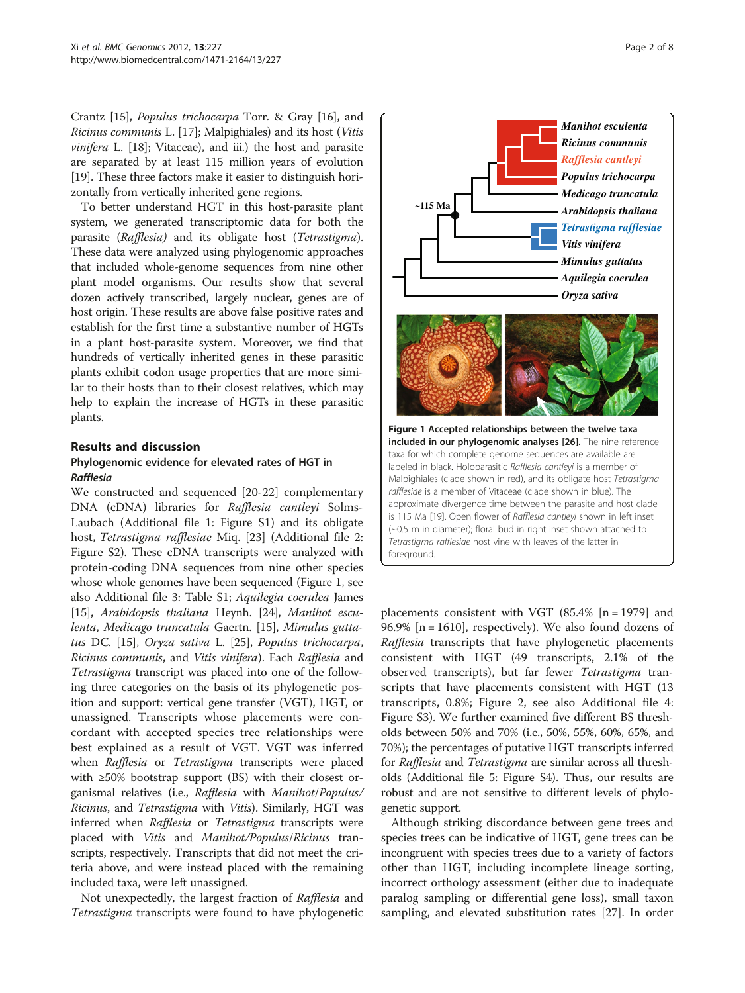Crantz [[15\]](#page-6-0), Populus trichocarpa Torr. & Gray [[16\]](#page-6-0), and Ricinus communis L. [[17](#page-6-0)]; Malpighiales) and its host (Vitis vinifera L. [[18](#page-6-0)]; Vitaceae), and iii.) the host and parasite are separated by at least 115 million years of evolution [[19](#page-6-0)]. These three factors make it easier to distinguish horizontally from vertically inherited gene regions.

To better understand HGT in this host-parasite plant system, we generated transcriptomic data for both the parasite (Rafflesia) and its obligate host (Tetrastigma). These data were analyzed using phylogenomic approaches that included whole-genome sequences from nine other plant model organisms. Our results show that several dozen actively transcribed, largely nuclear, genes are of host origin. These results are above false positive rates and establish for the first time a substantive number of HGTs in a plant host-parasite system. Moreover, we find that hundreds of vertically inherited genes in these parasitic plants exhibit codon usage properties that are more similar to their hosts than to their closest relatives, which may help to explain the increase of HGTs in these parasitic plants.

## Results and discussion

## Phylogenomic evidence for elevated rates of HGT in Rafflesia

We constructed and sequenced [\[20](#page-6-0)-[22\]](#page-6-0) complementary DNA (cDNA) libraries for Rafflesia cantleyi Solms-Laubach (Additional file 1: [Figure S1\)](#page-5-0) and its obligate host, Tetrastigma rafflesiae Miq. [[23](#page-6-0)] (Additional file 2: [Figure S2](#page-5-0)). These cDNA transcripts were analyzed with protein-coding DNA sequences from nine other species whose whole genomes have been sequenced (Figure 1, see also Additional file 3: [Table S1](#page-5-0); Aquilegia coerulea James [[15](#page-6-0)], Arabidopsis thaliana Heynh. [[24](#page-6-0)], Manihot esculenta, Medicago truncatula Gaertn. [\[15\]](#page-6-0), Mimulus guttatus DC. [\[15\]](#page-6-0), Oryza sativa L. [\[25\]](#page-6-0), Populus trichocarpa, Ricinus communis, and Vitis vinifera). Each Rafflesia and Tetrastigma transcript was placed into one of the following three categories on the basis of its phylogenetic position and support: vertical gene transfer (VGT), HGT, or unassigned. Transcripts whose placements were concordant with accepted species tree relationships were best explained as a result of VGT. VGT was inferred when *Rafflesia* or *Tetrastigma* transcripts were placed with ≥50% bootstrap support (BS) with their closest organismal relatives (i.e., Rafflesia with Manihot/Populus/ Ricinus, and Tetrastigma with Vitis). Similarly, HGT was inferred when Rafflesia or Tetrastigma transcripts were placed with Vitis and Manihot/Populus/Ricinus transcripts, respectively. Transcripts that did not meet the criteria above, and were instead placed with the remaining included taxa, were left unassigned.

Not unexpectedly, the largest fraction of Rafflesia and Tetrastigma transcripts were found to have phylogenetic



placements consistent with VGT  $(85.4\% \mid n = 1979)$  and 96.9%  $[n = 1610]$ , respectively). We also found dozens of Rafflesia transcripts that have phylogenetic placements consistent with HGT (49 transcripts, 2.1% of the observed transcripts), but far fewer Tetrastigma transcripts that have placements consistent with HGT (13 transcripts, 0.8%; Figure [2,](#page-2-0) see also Additional file 4: [Figure S3](#page-5-0)). We further examined five different BS thresholds between 50% and 70% (i.e., 50%, 55%, 60%, 65%, and 70%); the percentages of putative HGT transcripts inferred for Rafflesia and Tetrastigma are similar across all thresholds (Additional file 5[: Figure S4](#page-5-0)). Thus, our results are robust and are not sensitive to different levels of phylogenetic support.

Although striking discordance between gene trees and species trees can be indicative of HGT, gene trees can be incongruent with species trees due to a variety of factors other than HGT, including incomplete lineage sorting, incorrect orthology assessment (either due to inadequate paralog sampling or differential gene loss), small taxon sampling, and elevated substitution rates [\[27\]](#page-6-0). In order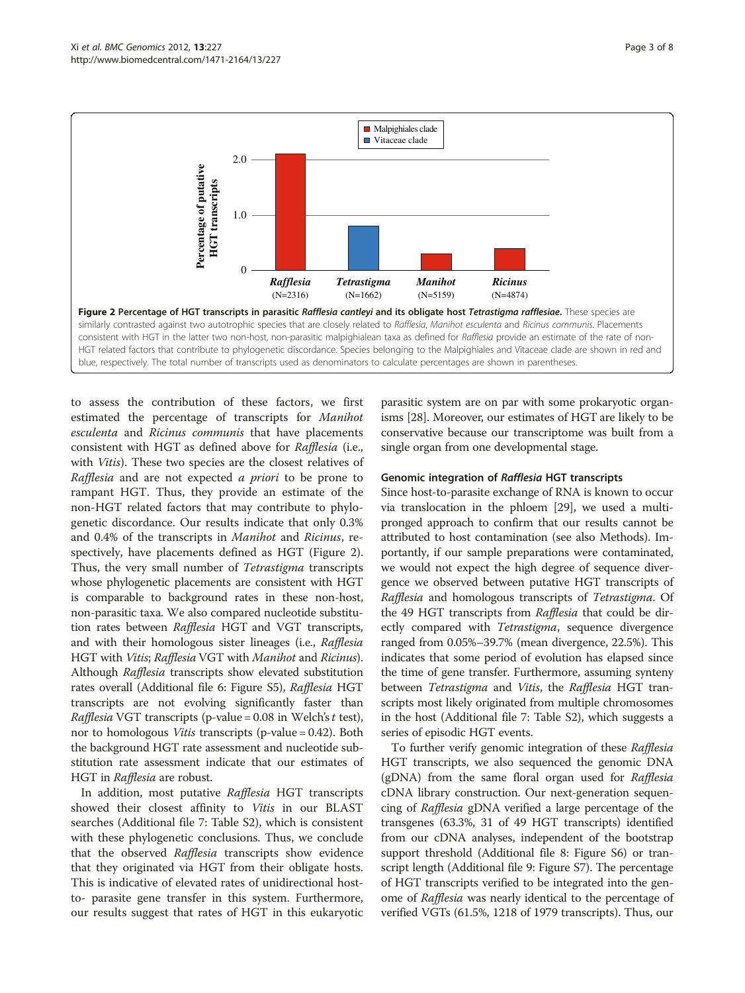<span id="page-2-0"></span>

to assess the contribution of these factors, we first estimated the percentage of transcripts for Manihot esculenta and Ricinus communis that have placements consistent with HGT as defined above for Rafflesia (i.e., with Vitis). These two species are the closest relatives of Rafflesia and are not expected a priori to be prone to rampant HGT. Thus, they provide an estimate of the non-HGT related factors that may contribute to phylogenetic discordance. Our results indicate that only 0.3% and 0.4% of the transcripts in Manihot and Ricinus, respectively, have placements defined as HGT (Figure 2). Thus, the very small number of Tetrastigma transcripts whose phylogenetic placements are consistent with HGT is comparable to background rates in these non-host, non-parasitic taxa. We also compared nucleotide substitution rates between Rafflesia HGT and VGT transcripts, and with their homologous sister lineages (i.e., Rafflesia HGT with Vitis; Rafflesia VGT with Manihot and Ricinus). Although Rafflesia transcripts show elevated substitution rates overall (Additional file 6: [Figure S5](#page-5-0)), Rafflesia HGT transcripts are not evolving significantly faster than *Rafflesia* VGT transcripts (p-value =  $0.08$  in Welch's t test), nor to homologous *Vitis* transcripts (p-value = 0.42). Both the background HGT rate assessment and nucleotide substitution rate assessment indicate that our estimates of HGT in Rafflesia are robust.

In addition, most putative Rafflesia HGT transcripts showed their closest affinity to Vitis in our BLAST searches (Additional file 7: [Table S2\)](#page-5-0), which is consistent with these phylogenetic conclusions. Thus, we conclude that the observed Rafflesia transcripts show evidence that they originated via HGT from their obligate hosts. This is indicative of elevated rates of unidirectional hostto- parasite gene transfer in this system. Furthermore, our results suggest that rates of HGT in this eukaryotic parasitic system are on par with some prokaryotic organisms [[28](#page-6-0)]. Moreover, our estimates of HGT are likely to be conservative because our transcriptome was built from a single organ from one developmental stage.

## Genomic integration of Rafflesia HGT transcripts

Since host-to-parasite exchange of RNA is known to occur via translocation in the phloem [[29](#page-6-0)], we used a multipronged approach to confirm that our results cannot be attributed to host contamination (see also Methods). Importantly, if our sample preparations were contaminated, we would not expect the high degree of sequence divergence we observed between putative HGT transcripts of Rafflesia and homologous transcripts of Tetrastigma. Of the 49 HGT transcripts from Rafflesia that could be directly compared with Tetrastigma, sequence divergence ranged from 0.05%–39.7% (mean divergence, 22.5%). This indicates that some period of evolution has elapsed since the time of gene transfer. Furthermore, assuming synteny between Tetrastigma and Vitis, the Rafflesia HGT transcripts most likely originated from multiple chromosomes in the host (Additional file 7: [Table S2\)](#page-5-0), which suggests a series of episodic HGT events.

To further verify genomic integration of these Rafflesia HGT transcripts, we also sequenced the genomic DNA (gDNA) from the same floral organ used for Rafflesia cDNA library construction. Our next-generation sequencing of Rafflesia gDNA verified a large percentage of the transgenes (63.3%, 31 of 49 HGT transcripts) identified from our cDNA analyses, independent of the bootstrap support threshold (Additional file 8: [Figure S6](#page-5-0)) or transcript length (Additional file 9: [Figure S7](#page-5-0)). The percentage of HGT transcripts verified to be integrated into the genome of Rafflesia was nearly identical to the percentage of verified VGTs (61.5%, 1218 of 1979 transcripts). Thus, our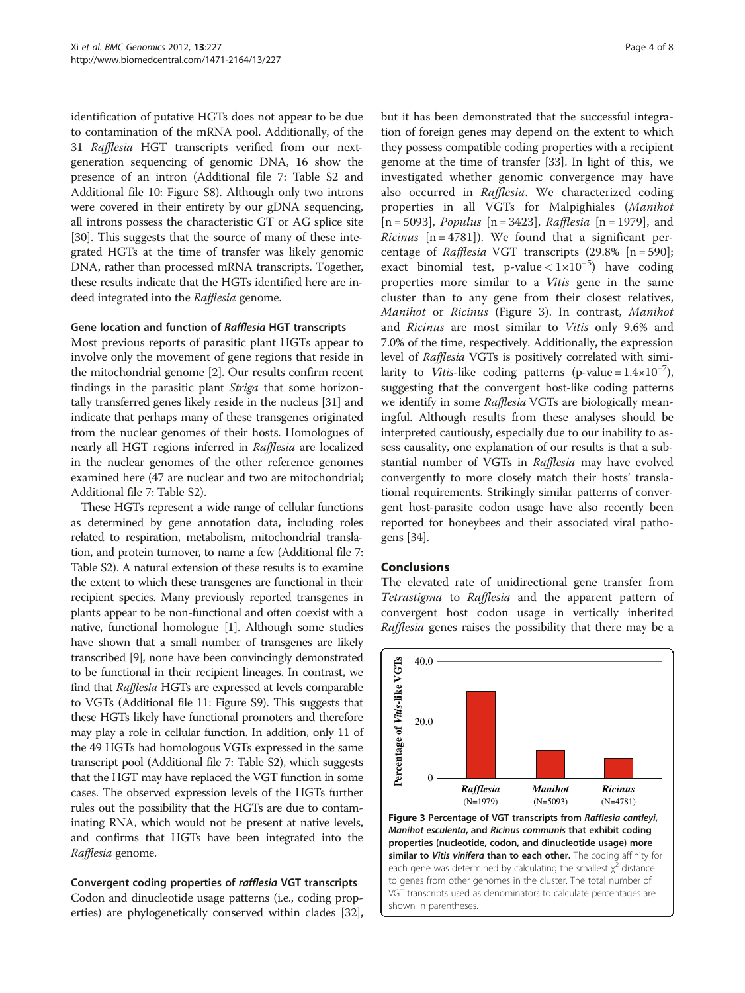identification of putative HGTs does not appear to be due to contamination of the mRNA pool. Additionally, of the 31 Rafflesia HGT transcripts verified from our nextgeneration sequencing of genomic DNA, 16 show the presence of an intron (Additional file 7: [Table S2](#page-5-0) and Additional file 10: [Figure S8](#page-5-0)). Although only two introns were covered in their entirety by our gDNA sequencing, all introns possess the characteristic GT or AG splice site [[30](#page-6-0)]. This suggests that the source of many of these integrated HGTs at the time of transfer was likely genomic DNA, rather than processed mRNA transcripts. Together, these results indicate that the HGTs identified here are indeed integrated into the Rafflesia genome.

#### Gene location and function of Rafflesia HGT transcripts

Most previous reports of parasitic plant HGTs appear to involve only the movement of gene regions that reside in the mitochondrial genome [\[2](#page-6-0)]. Our results confirm recent findings in the parasitic plant Striga that some horizontally transferred genes likely reside in the nucleus [\[31\]](#page-6-0) and indicate that perhaps many of these transgenes originated from the nuclear genomes of their hosts. Homologues of nearly all HGT regions inferred in Rafflesia are localized in the nuclear genomes of the other reference genomes examined here (47 are nuclear and two are mitochondrial; Additional file 7: [Table S2\)](#page-5-0).

These HGTs represent a wide range of cellular functions as determined by gene annotation data, including roles related to respiration, metabolism, mitochondrial translation, and protein turnover, to name a few (Additional file 7: [Table S2](#page-5-0)). A natural extension of these results is to examine the extent to which these transgenes are functional in their recipient species. Many previously reported transgenes in plants appear to be non-functional and often coexist with a native, functional homologue [\[1](#page-6-0)]. Although some studies have shown that a small number of transgenes are likely transcribed [\[9](#page-6-0)], none have been convincingly demonstrated to be functional in their recipient lineages. In contrast, we find that Rafflesia HGTs are expressed at levels comparable to VGTs (Additional file 11: [Figure S9](#page-5-0)). This suggests that these HGTs likely have functional promoters and therefore may play a role in cellular function. In addition, only 11 of the 49 HGTs had homologous VGTs expressed in the same transcript pool (Additional file 7: [Table S2](#page-5-0)), which suggests that the HGT may have replaced the VGT function in some cases. The observed expression levels of the HGTs further rules out the possibility that the HGTs are due to contaminating RNA, which would not be present at native levels, and confirms that HGTs have been integrated into the Rafflesia genome.

## Convergent coding properties of rafflesia VGT transcripts

Codon and dinucleotide usage patterns (i.e., coding properties) are phylogenetically conserved within clades [[32](#page-6-0)],

but it has been demonstrated that the successful integration of foreign genes may depend on the extent to which they possess compatible coding properties with a recipient genome at the time of transfer [[33](#page-6-0)]. In light of this, we investigated whether genomic convergence may have also occurred in Rafflesia. We characterized coding properties in all VGTs for Malpighiales (Manihot  $[n = 5093]$ , *Populus*  $[n = 3423]$ , *Rafflesia*  $[n = 1979]$ , and *Ricinus*  $[n = 4781]$ . We found that a significant percentage of Rafflesia VGT transcripts (29.8% [n = 590]; exact binomial test, p-value < 1×10−<sup>5</sup> ) have coding properties more similar to a Vitis gene in the same cluster than to any gene from their closest relatives, Manihot or Ricinus (Figure 3). In contrast, Manihot and Ricinus are most similar to Vitis only 9.6% and 7.0% of the time, respectively. Additionally, the expression level of Rafflesia VGTs is positively correlated with similarity to *Vitis*-like coding patterns (p-value =  $1.4 \times 10^{-7}$ ), suggesting that the convergent host-like coding patterns we identify in some Rafflesia VGTs are biologically meaningful. Although results from these analyses should be interpreted cautiously, especially due to our inability to assess causality, one explanation of our results is that a substantial number of VGTs in Rafflesia may have evolved convergently to more closely match their hosts' translational requirements. Strikingly similar patterns of convergent host-parasite codon usage have also recently been reported for honeybees and their associated viral pathogens [\[34](#page-6-0)].

## Conclusions

The elevated rate of unidirectional gene transfer from Tetrastigma to Rafflesia and the apparent pattern of convergent host codon usage in vertically inherited Rafflesia genes raises the possibility that there may be a



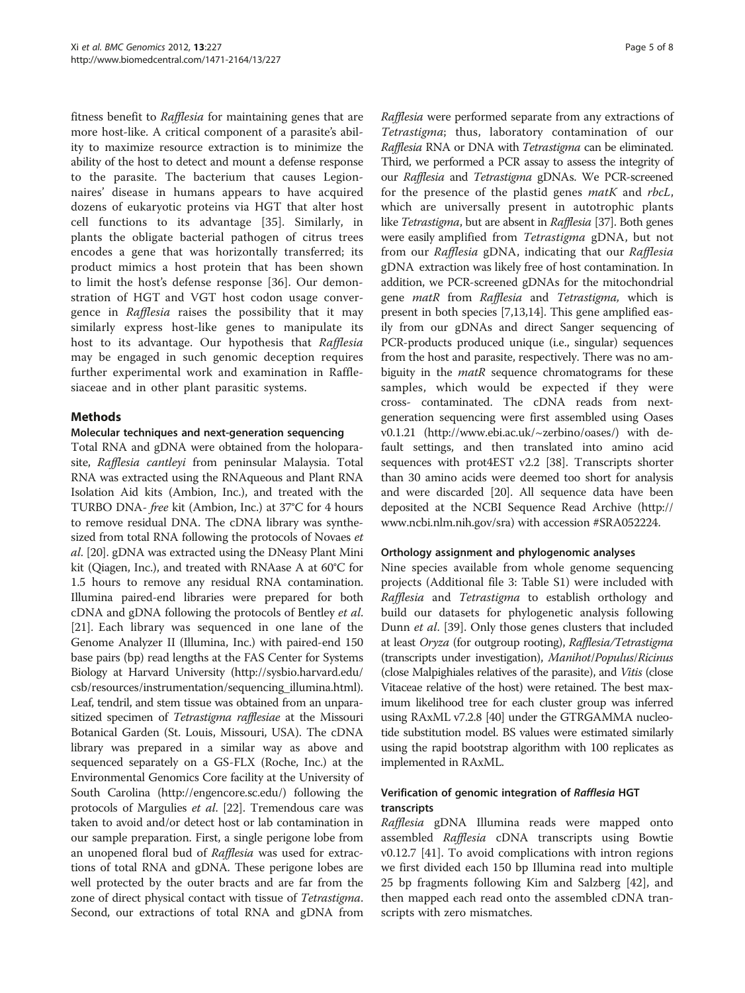fitness benefit to Rafflesia for maintaining genes that are more host-like. A critical component of a parasite's ability to maximize resource extraction is to minimize the ability of the host to detect and mount a defense response to the parasite. The bacterium that causes Legionnaires' disease in humans appears to have acquired dozens of eukaryotic proteins via HGT that alter host cell functions to its advantage [\[35](#page-6-0)]. Similarly, in plants the obligate bacterial pathogen of citrus trees encodes a gene that was horizontally transferred; its product mimics a host protein that has been shown to limit the host's defense response [\[36](#page-6-0)]. Our demonstration of HGT and VGT host codon usage convergence in Rafflesia raises the possibility that it may similarly express host-like genes to manipulate its host to its advantage. Our hypothesis that Rafflesia may be engaged in such genomic deception requires further experimental work and examination in Rafflesiaceae and in other plant parasitic systems.

## Methods

## Molecular techniques and next-generation sequencing

Total RNA and gDNA were obtained from the holoparasite, Rafflesia cantleyi from peninsular Malaysia. Total RNA was extracted using the RNAqueous and Plant RNA Isolation Aid kits (Ambion, Inc.), and treated with the TURBO DNA- free kit (Ambion, Inc.) at 37°C for 4 hours to remove residual DNA. The cDNA library was synthesized from total RNA following the protocols of Novaes et al. [\[20\]](#page-6-0). gDNA was extracted using the DNeasy Plant Mini kit (Qiagen, Inc.), and treated with RNAase A at 60°C for 1.5 hours to remove any residual RNA contamination. Illumina paired-end libraries were prepared for both cDNA and gDNA following the protocols of Bentley et al. [[21](#page-6-0)]. Each library was sequenced in one lane of the Genome Analyzer II (Illumina, Inc.) with paired-end 150 base pairs (bp) read lengths at the FAS Center for Systems Biology at Harvard University ([http://sysbio.harvard.edu/](http://sysbio.harvard.edu/csb/resources/instrumentation/sequencing_illumina.html) [csb/resources/instrumentation/sequencing\\_illumina.html](http://sysbio.harvard.edu/csb/resources/instrumentation/sequencing_illumina.html)). Leaf, tendril, and stem tissue was obtained from an unparasitized specimen of Tetrastigma rafflesiae at the Missouri Botanical Garden (St. Louis, Missouri, USA). The cDNA library was prepared in a similar way as above and sequenced separately on a GS-FLX (Roche, Inc.) at the Environmental Genomics Core facility at the University of South Carolina [\(http://engencore.sc.edu/](http://engencore.sc.edu/)) following the protocols of Margulies et al. [\[22\]](#page-6-0). Tremendous care was taken to avoid and/or detect host or lab contamination in our sample preparation. First, a single perigone lobe from an unopened floral bud of Rafflesia was used for extractions of total RNA and gDNA. These perigone lobes are well protected by the outer bracts and are far from the zone of direct physical contact with tissue of Tetrastigma. Second, our extractions of total RNA and gDNA from

Rafflesia were performed separate from any extractions of Tetrastigma; thus, laboratory contamination of our Rafflesia RNA or DNA with Tetrastigma can be eliminated. Third, we performed a PCR assay to assess the integrity of our Rafflesia and Tetrastigma gDNAs. We PCR-screened for the presence of the plastid genes *matK* and *rbcL*, which are universally present in autotrophic plants like Tetrastigma, but are absent in Rafflesia [[37\]](#page-6-0). Both genes were easily amplified from Tetrastigma gDNA, but not from our Rafflesia gDNA, indicating that our Rafflesia gDNA extraction was likely free of host contamination. In addition, we PCR-screened gDNAs for the mitochondrial gene *matR* from *Rafflesia* and *Tetrastigma*, which is present in both species [[7,13,14\]](#page-6-0). This gene amplified easily from our gDNAs and direct Sanger sequencing of PCR-products produced unique (i.e., singular) sequences from the host and parasite, respectively. There was no ambiguity in the *matR* sequence chromatograms for these samples, which would be expected if they were cross- contaminated. The cDNA reads from nextgeneration sequencing were first assembled using Oases v0.1.21 [\(http://www.ebi.ac.uk/~zerbino/oases/](http://www.ebi.ac.uk/~zerbino/oases/)) with default settings, and then translated into amino acid sequences with prot4EST v2.2 [\[38](#page-6-0)]. Transcripts shorter than 30 amino acids were deemed too short for analysis and were discarded [\[20\]](#page-6-0). All sequence data have been deposited at the NCBI Sequence Read Archive ([http://](http://www.ncbi.nlm.nih.gov/sra) [www.ncbi.nlm.nih.gov/sra](http://www.ncbi.nlm.nih.gov/sra)) with accession #SRA052224.

#### Orthology assignment and phylogenomic analyses

Nine species available from whole genome sequencing projects (Additional file 3: [Table S1\)](#page-5-0) were included with Rafflesia and Tetrastigma to establish orthology and build our datasets for phylogenetic analysis following Dunn et al. [[39\]](#page-6-0). Only those genes clusters that included at least Oryza (for outgroup rooting), Rafflesia/Tetrastigma (transcripts under investigation), Manihot/Populus/Ricinus (close Malpighiales relatives of the parasite), and Vitis (close Vitaceae relative of the host) were retained. The best maximum likelihood tree for each cluster group was inferred using RAxML v7.2.8 [\[40\]](#page-6-0) under the GTRGAMMA nucleotide substitution model. BS values were estimated similarly using the rapid bootstrap algorithm with 100 replicates as implemented in RAxML.

## Verification of genomic integration of Rafflesia HGT transcripts

Rafflesia gDNA Illumina reads were mapped onto assembled Rafflesia cDNA transcripts using Bowtie v0.12.7 [[41\]](#page-6-0). To avoid complications with intron regions we first divided each 150 bp Illumina read into multiple 25 bp fragments following Kim and Salzberg [[42\]](#page-6-0), and then mapped each read onto the assembled cDNA transcripts with zero mismatches.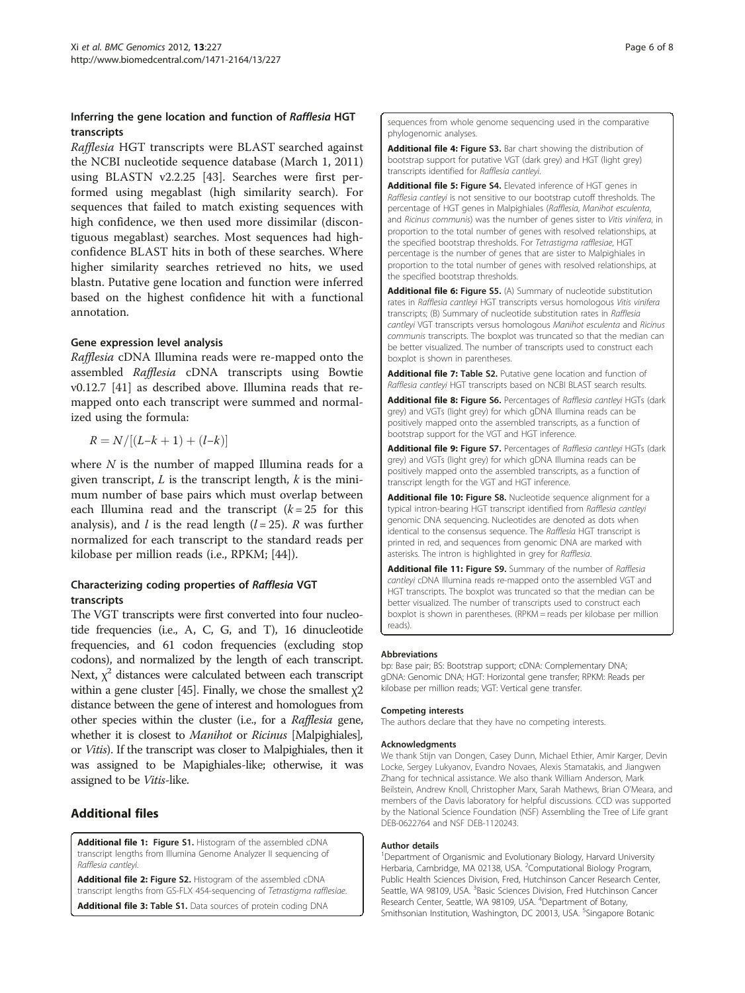## <span id="page-5-0"></span>Inferring the gene location and function of Rafflesia HGT transcripts

Rafflesia HGT transcripts were BLAST searched against the NCBI nucleotide sequence database (March 1, 2011) using BLASTN v2.2.25 [\[43\]](#page-6-0). Searches were first performed using megablast (high similarity search). For sequences that failed to match existing sequences with high confidence, we then used more dissimilar (discontiguous megablast) searches. Most sequences had highconfidence BLAST hits in both of these searches. Where higher similarity searches retrieved no hits, we used blastn. Putative gene location and function were inferred based on the highest confidence hit with a functional annotation.

## Gene expression level analysis

Rafflesia cDNA Illumina reads were re-mapped onto the assembled Rafflesia cDNA transcripts using Bowtie v0.12.7 [\[41](#page-6-0)] as described above. Illumina reads that remapped onto each transcript were summed and normalized using the formula:

$$
R=N/\lbrack (L{-}k+1)+(l{-}k)\rbrack
$$

where  $N$  is the number of mapped Illumina reads for a given transcript,  $L$  is the transcript length,  $k$  is the minimum number of base pairs which must overlap between each Illumina read and the transcript  $(k = 25$  for this analysis), and *l* is the read length  $(l = 25)$ . *R* was further normalized for each transcript to the standard reads per kilobase per million reads (i.e., RPKM; [\[44\]](#page-6-0)).

## Characterizing coding properties of Rafflesia VGT transcripts

The VGT transcripts were first converted into four nucleotide frequencies (i.e., A, C, G, and T), 16 dinucleotide frequencies, and 61 codon frequencies (excluding stop codons), and normalized by the length of each transcript. Next,  $\chi^2$  distances were calculated between each transcript within a gene cluster [[45](#page-7-0)]. Finally, we chose the smallest  $\chi$ 2 distance between the gene of interest and homologues from other species within the cluster (i.e., for a Rafflesia gene, whether it is closest to *Manihot* or *Ricinus* [Malpighiales], or Vitis). If the transcript was closer to Malpighiales, then it was assigned to be Mapighiales-like; otherwise, it was assigned to be Vitis-like.

## Additional files

[Additional file 1](http://www.biomedcentral.com/content/supplementary/1471-2164-13-227-S1.pdf): Figure S1. Histogram of the assembled cDNA transcript lengths from Illumina Genome Analyzer II sequencing of Rafflesia cantleyi.

[Additional file 2](http://www.biomedcentral.com/content/supplementary/1471-2164-13-227-S2.pdf): Figure S2. Histogram of the assembled cDNA transcript lengths from GS-FLX 454-sequencing of Tetrastigma rafflesiae. [Additional file 3](http://www.biomedcentral.com/content/supplementary/1471-2164-13-227-S3.pdf): Table S1. Data sources of protein coding DNA

sequences from whole genome sequencing used in the comparative phylogenomic analyses.

[Additional file 4](http://www.biomedcentral.com/content/supplementary/1471-2164-13-227-S4.pdf): Figure S3. Bar chart showing the distribution of bootstrap support for putative VGT (dark grey) and HGT (light grey) transcripts identified for Rafflesia cantleyi.

[Additional file 5](http://www.biomedcentral.com/content/supplementary/1471-2164-13-227-S5.pdf): Figure S4. Elevated inference of HGT genes in Rafflesia cantleyi is not sensitive to our bootstrap cutoff thresholds. The percentage of HGT genes in Malpighiales (Rafflesia, Manihot esculenta, and Ricinus communis) was the number of genes sister to Vitis vinifera, in proportion to the total number of genes with resolved relationships, at the specified bootstrap thresholds. For Tetrastigma rafflesiae, HGT percentage is the number of genes that are sister to Malpighiales in proportion to the total number of genes with resolved relationships, at the specified bootstrap thresholds.

[Additional file 6](http://www.biomedcentral.com/content/supplementary/1471-2164-13-227-S6.pdf): Figure S5. (A) Summary of nucleotide substitution rates in Rafflesia cantleyi HGT transcripts versus homologous Vitis vinifera transcripts; (B) Summary of nucleotide substitution rates in Rafflesia cantleyi VGT transcripts versus homologous Manihot esculenta and Ricinus communis transcripts. The boxplot was truncated so that the median can be better visualized. The number of transcripts used to construct each boxplot is shown in parentheses.

[Additional file 7](http://www.biomedcentral.com/content/supplementary/1471-2164-13-227-S7.pdf): Table S2. Putative gene location and function of Rafflesia cantleyi HGT transcripts based on NCBI BLAST search results.

[Additional file 8](http://www.biomedcentral.com/content/supplementary/1471-2164-13-227-S8.pdf): Figure S6. Percentages of Rafflesia cantleyi HGTs (dark grey) and VGTs (light grey) for which gDNA Illumina reads can be positively mapped onto the assembled transcripts, as a function of bootstrap support for the VGT and HGT inference.

[Additional file 9](http://www.biomedcentral.com/content/supplementary/1471-2164-13-227-S9.pdf): Figure S7. Percentages of Rafflesia cantleyi HGTs (dark grey) and VGTs (light grey) for which gDNA Illumina reads can be positively mapped onto the assembled transcripts, as a function of transcript length for the VGT and HGT inference.

[Additional file 10](http://www.biomedcentral.com/content/supplementary/1471-2164-13-227-S10.pdf): Figure S8. Nucleotide sequence alignment for a typical intron-bearing HGT transcript identified from Rafflesia cantleyi genomic DNA sequencing. Nucleotides are denoted as dots when identical to the consensus sequence. The Rafflesia HGT transcript is printed in red, and sequences from genomic DNA are marked with asterisks. The intron is highlighted in grey for Rafflesia.

[Additional file 11:](http://www.biomedcentral.com/content/supplementary/1471-2164-13-227.pdf) Figure S9. Summary of the number of Rafflesia cantleyi cDNA Illumina reads re-mapped onto the assembled VGT and HGT transcripts. The boxplot was truncated so that the median can be better visualized. The number of transcripts used to construct each boxplot is shown in parentheses. (RPKM = reads per kilobase per million reads).

#### Abbreviations

bp: Base pair; BS: Bootstrap support; cDNA: Complementary DNA; gDNA: Genomic DNA; HGT: Horizontal gene transfer; RPKM: Reads per kilobase per million reads; VGT: Vertical gene transfer.

#### Competing interests

The authors declare that they have no competing interests.

#### Acknowledgments

We thank Stijn van Dongen, Casey Dunn, Michael Ethier, Amir Karger, Devin Locke, Sergey Lukyanov, Evandro Novaes, Alexis Stamatakis, and Jiangwen Zhang for technical assistance. We also thank William Anderson, Mark Beilstein, Andrew Knoll, Christopher Marx, Sarah Mathews, Brian O'Meara, and members of the Davis laboratory for helpful discussions. CCD was supported by the National Science Foundation (NSF) Assembling the Tree of Life grant DEB-0622764 and NSF DEB-1120243.

#### Author details

<sup>1</sup>Department of Organismic and Evolutionary Biology, Harvard University Herbaria, Cambridge, MA 02138, USA. <sup>2</sup>Computational Biology Program Public Health Sciences Division, Fred, Hutchinson Cancer Research Center, Seattle, WA 98109, USA. <sup>3</sup> Basic Sciences Division, Fred Hutchinson Cancer Research Center, Seattle, WA 98109, USA. <sup>4</sup>Department of Botany, Smithsonian Institution, Washington, DC 20013, USA. <sup>5</sup>Singapore Botanic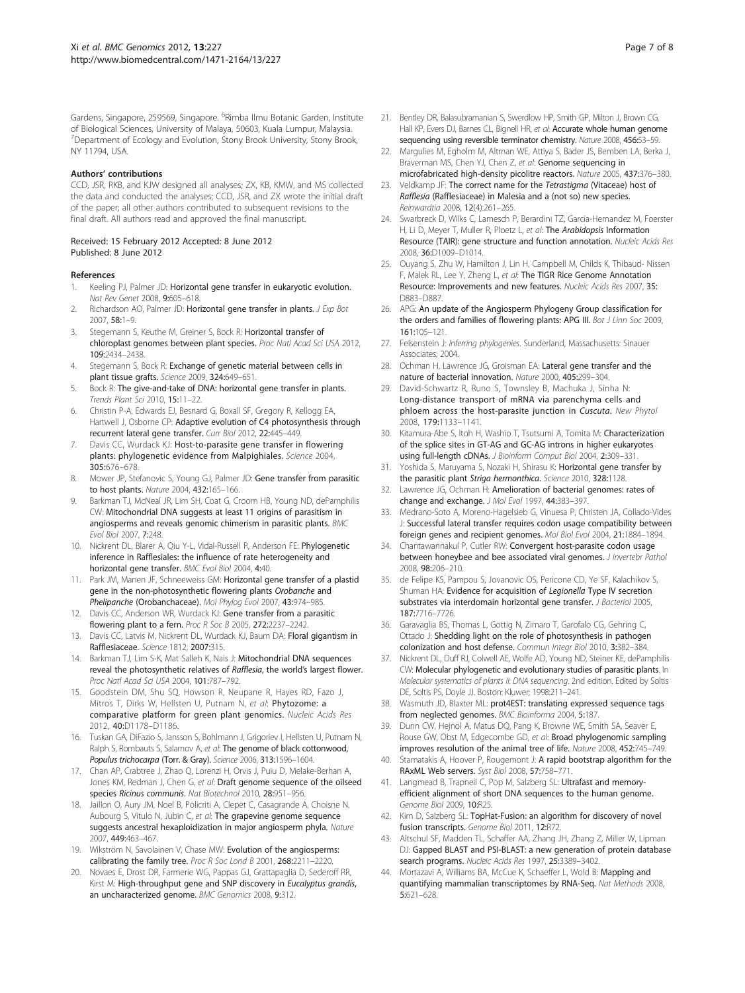<span id="page-6-0"></span>Gardens, Singapore, 259569, Singapore. <sup>6</sup>Rimba Ilmu Botanic Garden, Institute of Biological Sciences, University of Malaya, 50603, Kuala Lumpur, Malaysia. <sup>7</sup>Department of Ecology and Evolution, Stony Brook University, Stony Brook, NY 11794, USA.

#### Authors' contributions

CCD, JSR, RKB, and KJW designed all analyses; ZX, KB, KMW, and MS collected the data and conducted the analyses; CCD, JSR, and ZX wrote the initial draft of the paper; all other authors contributed to subsequent revisions to the final draft. All authors read and approved the final manuscript.

#### Received: 15 February 2012 Accepted: 8 June 2012 Published: 8 June 2012

#### References

- 1. Keeling PJ, Palmer JD: Horizontal gene transfer in eukaryotic evolution. Nat Rev Genet 2008, 9:605–618.
- 2. Richardson AO, Palmer JD: Horizontal gene transfer in plants. J Exp Bot 2007, 58:1–9.
- 3. Stegemann S, Keuthe M, Greiner S, Bock R: Horizontal transfer of chloroplast genomes between plant species. Proc Natl Acad Sci USA 2012, 109:2434–2438.
- 4. Stegemann S, Bock R: Exchange of genetic material between cells in plant tissue grafts. Science 2009, 324:649–651.
- 5. Bock R: The give-and-take of DNA: horizontal gene transfer in plants. Trends Plant Sci 2010, 15:11–22.
- 6. Christin P-A, Edwards EJ, Besnard G, Boxall SF, Gregory R, Kellogg EA, Hartwell J, Osborne CP: Adaptive evolution of C4 photosynthesis through recurrent lateral gene transfer. Curr Biol 2012, 22:445–449.
- 7. Davis CC, Wurdack KJ: Host-to-parasite gene transfer in flowering plants: phylogenetic evidence from Malpighiales. Science 2004, 305:676–678.
- 8. Mower JP, Stefanovic S, Young GJ, Palmer JD: Gene transfer from parasitic to host plants. Nature 2004, 432:165–166.
- Barkman TJ, McNeal JR, Lim SH, Coat G, Croom HB, Young ND, dePamphilis CW: Mitochondrial DNA suggests at least 11 origins of parasitism in angiosperms and reveals genomic chimerism in parasitic plants. BMC Evol Biol 2007, 7:248.
- 10. Nickrent DL, Blarer A, Qiu Y-L, Vidal-Russell R, Anderson FE: Phylogenetic inference in Rafflesiales: the influence of rate heterogeneity and horizontal gene transfer. BMC Evol Biol 2004, 4:40.
- 11. Park JM, Manen JF, Schneeweiss GM: Horizontal gene transfer of a plastid gene in the non-photosynthetic flowering plants Orobanche and Phelipanche (Orobanchaceae). Mol Phylog Evol 2007, 43:974–985.
- 12. Davis CC, Anderson WR, Wurdack KJ: Gene transfer from a parasitic flowering plant to a fern. Proc R Soc B 2005, 272:2237–2242.
- 13. Davis CC, Latvis M, Nickrent DL, Wurdack KJ, Baum DA: Floral gigantism in Rafflesiaceae. Science 1812, 2007:315.
- 14. Barkman TJ, Lim S-K, Mat Salleh K, Nais J: Mitochondrial DNA sequences reveal the photosynthetic relatives of Rafflesia, the world's largest flower. Proc Natl Acad Sci USA 2004, 101:787–792.
- 15. Goodstein DM, Shu SQ, Howson R, Neupane R, Hayes RD, Fazo J, Mitros T, Dirks W, Hellsten U, Putnam N, et al: Phytozome: a comparative platform for green plant genomics. Nucleic Acids Res 2012, 40:D1178–D1186.
- 16. Tuskan GA, DiFazio S, Jansson S, Bohlmann J, Grigoriev I, Hellsten U, Putnam N, Ralph S, Rombauts S, Salamov A, et al: The genome of black cottonwood, Populus trichocarpa (Torr. & Gray). Science 2006, 313:1596-1604.
- 17. Chan AP, Crabtree J, Zhao Q, Lorenzi H, Orvis J, Puiu D, Melake-Berhan A, Jones KM, Redman J, Chen G, et al: Draft genome sequence of the oilseed species Ricinus communis. Nat Biotechnol 2010, 28:951–956.
- 18. Jaillon O, Aury JM, Noel B, Policriti A, Clepet C, Casagrande A, Choisne N, Aubourg S, Vitulo N, Jubin C, et al: The grapevine genome sequence suggests ancestral hexaploidization in major angiosperm phyla. Nature 2007, 449:463–467.
- 19. Wikström N, Savolainen V, Chase MW: Evolution of the angiosperms: calibrating the family tree. Proc R Soc Lond B 2001, 268:2211–2220.
- 20. Novaes E, Drost DR, Farmerie WG, Pappas GJ, Grattapaglia D, Sederoff RR, Kirst M: High-throughput gene and SNP discovery in Eucalyptus grandis, an uncharacterized genome. BMC Genomics 2008, 9:312.
- 21. Bentley DR, Balasubramanian S, Swerdlow HP, Smith GP, Milton J, Brown CG, Hall KP, Evers DJ, Barnes CL, Bignell HR, et al: Accurate whole human genome sequencing using reversible terminator chemistry. Nature 2008, 456:53–59.
- 22. Margulies M, Egholm M, Altman WE, Attiya S, Bader JS, Bemben LA, Berka J, Braverman MS, Chen YJ, Chen Z, et al: Genome sequencing in microfabricated high-density picolitre reactors. Nature 2005, 437:376–380.
- 23. Veldkamp JF: The correct name for the Tetrastigma (Vitaceae) host of Rafflesia (Rafflesiaceae) in Malesia and a (not so) new species. Reinwardtia 2008, 12(4):261–265.
- 24. Swarbreck D, Wilks C, Lamesch P, Berardini TZ, Garcia-Hernandez M, Foerster H, Li D, Meyer T, Muller R, Ploetz L, et al: The Arabidopsis Information Resource (TAIR): gene structure and function annotation. Nucleic Acids Res 2008, 36:D1009–D1014.
- 25. Ouyang S, Zhu W, Hamilton J, Lin H, Campbell M, Childs K, Thibaud- Nissen F, Malek RL, Lee Y, Zheng L, et al: The TIGR Rice Genome Annotation Resource: Improvements and new features. Nucleic Acids Res 2007, 35: D883–D887.
- 26. APG: An update of the Angiosperm Phylogeny Group classification for the orders and families of flowering plants: APG III. Bot J Linn Soc 2009, 161:105–121.
- 27. Felsenstein J: Inferring phylogenies. Sunderland, Massachusetts: Sinauer Associates; 2004.
- 28. Ochman H, Lawrence JG, Groisman FA: Lateral gene transfer and the nature of bacterial innovation. Nature 2000, 405:299–304.
- 29. David-Schwartz R, Runo S, Townsley B, Machuka J, Sinha N: Long-distance transport of mRNA via parenchyma cells and phloem across the host-parasite junction in Cuscuta. New Phytol 2008, 179:1133–1141.
- 30. Kitamura-Abe S, Itoh H, Washio T, Tsutsumi A, Tomita M: Characterization of the splice sites in GT-AG and GC-AG introns in higher eukaryotes using full-length cDNAs. J Bioinform Comput Biol 2004, 2:309–331.
- 31. Yoshida S, Maruyama S, Nozaki H, Shirasu K: Horizontal gene transfer by the parasitic plant Striga hermonthica. Science 2010, 328:1128.
- 32. Lawrence JG, Ochman H: Amelioration of bacterial genomes: rates of change and exchange. J Mol Evol 1997, 44:383–397.
- 33. Medrano-Soto A, Moreno-Hagelsieb G, Vinuesa P, Christen JA, Collado-Vides J: Successful lateral transfer requires codon usage compatibility between foreign genes and recipient genomes. Mol Biol Evol 2004, 21:1884–1894.
- 34. Chantawannakul P, Cutler RW: Convergent host-parasite codon usage between honeybee and bee associated viral genomes. J Invertebr Pathol 2008, 98:206–210.
- 35. de Felipe KS, Pampou S, Jovanovic OS, Pericone CD, Ye SF, Kalachikov S, Shuman HA: Evidence for acquisition of Legionella Type IV secretion substrates via interdomain horizontal gene transfer. J Bacteriol 2005, 187:7716–7726.
- 36. Garavaglia BS, Thomas L, Gottig N, Zimaro T, Garofalo CG, Gehring C, Ottado J: Shedding light on the role of photosynthesis in pathogen colonization and host defense. Commun Integr Biol 2010, 3:382–384.
- 37. Nickrent DL, Duff RJ, Colwell AE, Wolfe AD, Young ND, Steiner KE, dePamphilis CW: Molecular phylogenetic and evolutionary studies of parasitic plants. In Molecular systematics of plants II: DNA sequencing. 2nd edition. Edited by Soltis DE, Soltis PS, Doyle JJ. Boston: Kluwer; 1998:211–241.
- 38. Wasmuth JD, Blaxter ML: prot4EST: translating expressed sequence tags from neglected genomes. BMC Bioinforma 2004, 5:187.
- 39. Dunn CW, Hejnol A, Matus DQ, Pang K, Browne WE, Smith SA, Seaver E, Rouse GW, Obst M, Edgecombe GD, et al: Broad phylogenomic sampling improves resolution of the animal tree of life. Nature 2008, 452:745–749.
- 40. Stamatakis A, Hoover P, Rougemont J: A rapid bootstrap algorithm for the RAxML Web servers. Syst Biol 2008, 57:758–771.
- 41. Langmead B, Trapnell C, Pop M, Salzberg SL: Ultrafast and memoryefficient alignment of short DNA sequences to the human genome. Genome Biol 2009, 10:R25.
- 42. Kim D, Salzberg SL: TopHat-Fusion: an algorithm for discovery of novel fusion transcripts. Genome Biol 2011, 12:R72.
- 43. Altschul SF, Madden TL, Schaffer AA, Zhang JH, Zhang Z, Miller W, Lipman DJ: Gapped BLAST and PSI-BLAST: a new generation of protein database search programs. Nucleic Acids Res 1997, 25:3389–3402.
- 44. Mortazavi A, Williams BA, McCue K, Schaeffer L, Wold B: Mapping and quantifying mammalian transcriptomes by RNA-Seq. Nat Methods 2008, 5:621–628.